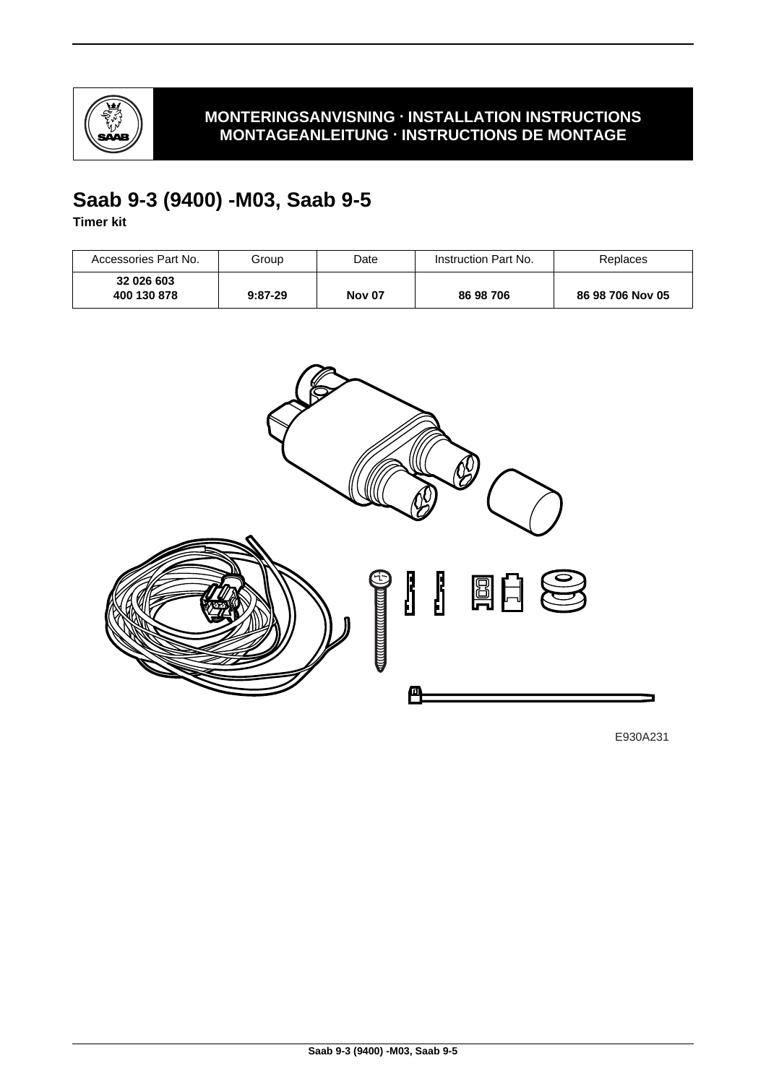

### **MONTERINGSANVISNING · INSTALLATION INSTRUCTIONS MONTAGEANLEITUNG · INSTRUCTIONS DE MONTAGE**

# **Saab 9-3 (9400) -M03, Saab 9-5**

**Timer kit**

| Accessories Part No.      | Group     | Date          | Instruction Part No. | Replaces         |
|---------------------------|-----------|---------------|----------------------|------------------|
| 32 026 603<br>400 130 878 | $9:87-29$ | <b>Nov 07</b> | 86 98 706            | 86 98 706 Nov 05 |



E930A231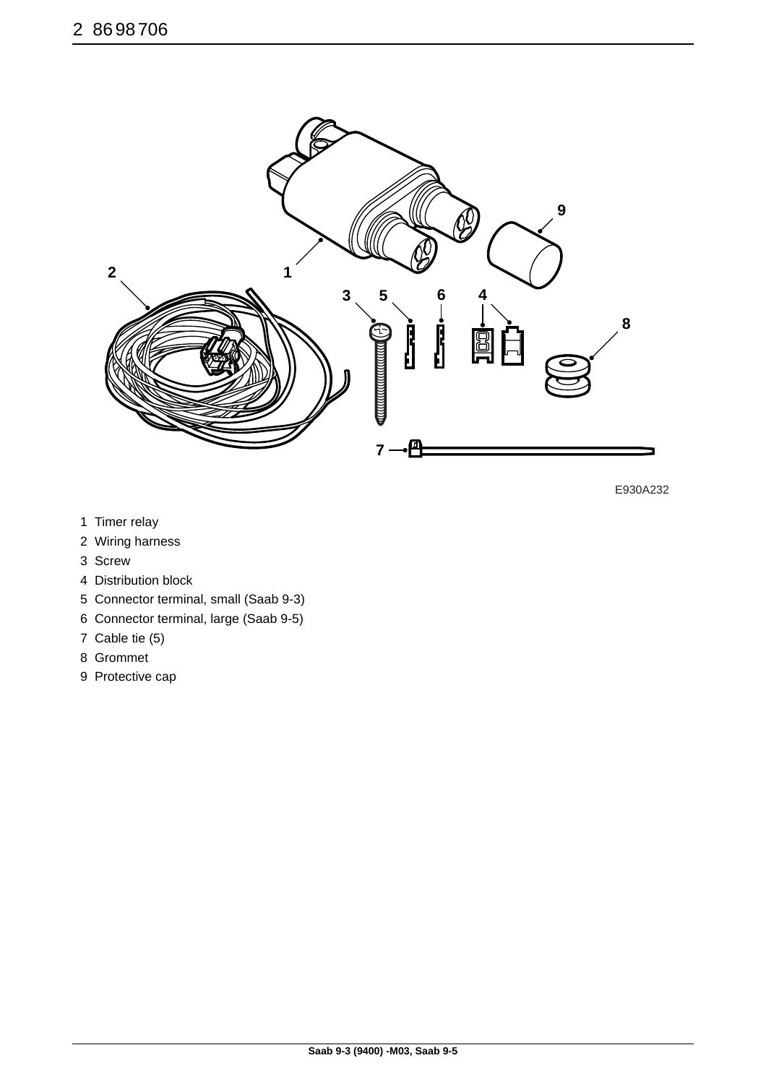

E930A232

- 1 Timer relay
- 2 Wiring harness
- 3 Screw
- 4 Distribution block
- 5 Connector terminal, small (Saab 9-3)
- 6 Connector terminal, large (Saab 9-5)
- 7 Cable tie (5)
- 8 Grommet
- 9 Protective cap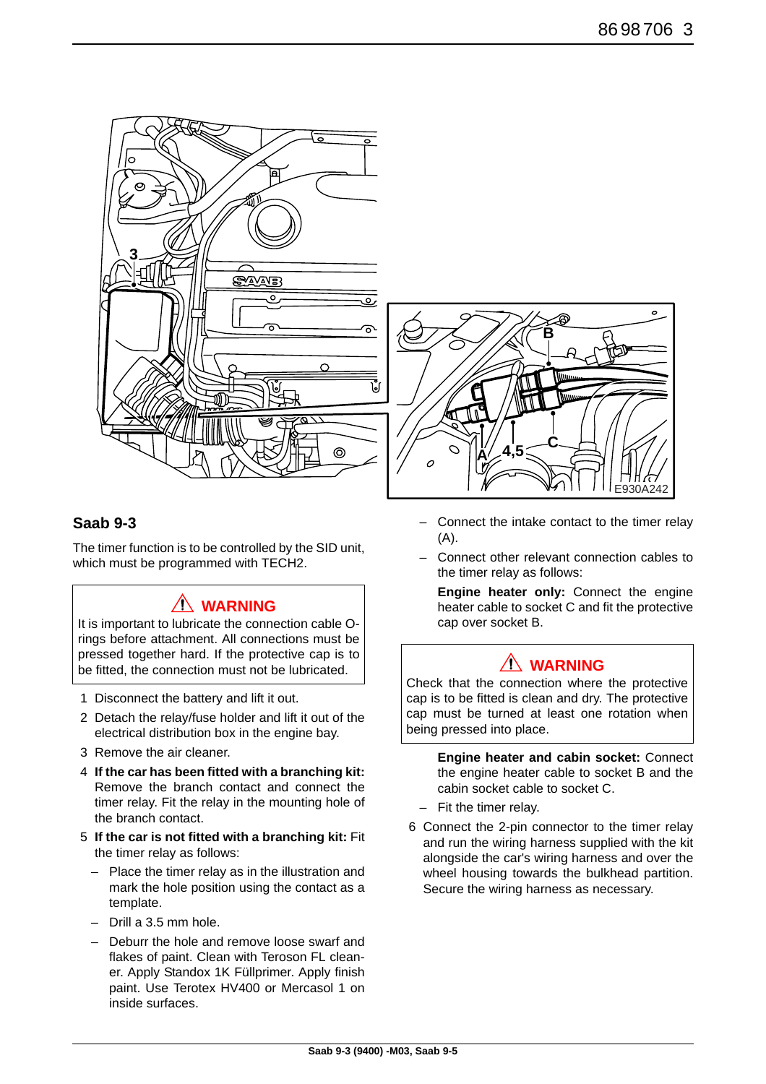



The timer function is to be controlled by the SID unit, which must be programmed with TECH2.

## **WARNING**

It is important to lubricate the connection cable Orings before attachment. All connections must be pressed together hard. If the protective cap is to be fitted, the connection must not be lubricated.

- 1 Disconnect the battery and lift it out.
- 2 Detach the relay/fuse holder and lift it out of the electrical distribution box in the engine bay.
- 3 Remove the air cleaner.
- 4 **If the car has been fitted with a branching kit:** Remove the branch contact and connect the timer relay. Fit the relay in the mounting hole of the branch contact.
- 5 **If the car is not fitted with a branching kit:** Fit the timer relay as follows:
	- Place the timer relay as in the illustration and mark the hole position using the contact as a template.
	- Drill a 3.5 mm hole.
	- Deburr the hole and remove loose swarf and flakes of paint. Clean with Teroson FL cleaner. Apply Standox 1K Füllprimer. Apply finish paint. Use Terotex HV400 or Mercasol 1 on inside surfaces.



- Connect the intake contact to the timer relay (A).
- Connect other relevant connection cables to the timer relay as follows:

**Engine heater only:** Connect the engine heater cable to socket C and fit the protective cap over socket B.

## **WARNING**

Check that the connection where the protective cap is to be fitted is clean and dry. The protective cap must be turned at least one rotation when being pressed into place.

> **Engine heater and cabin socket:** Connect the engine heater cable to socket B and the cabin socket cable to socket C.

- Fit the timer relay.
- 6 Connect the 2-pin connector to the timer relay and run the wiring harness supplied with the kit alongside the car's wiring harness and over the wheel housing towards the bulkhead partition. Secure the wiring harness as necessary.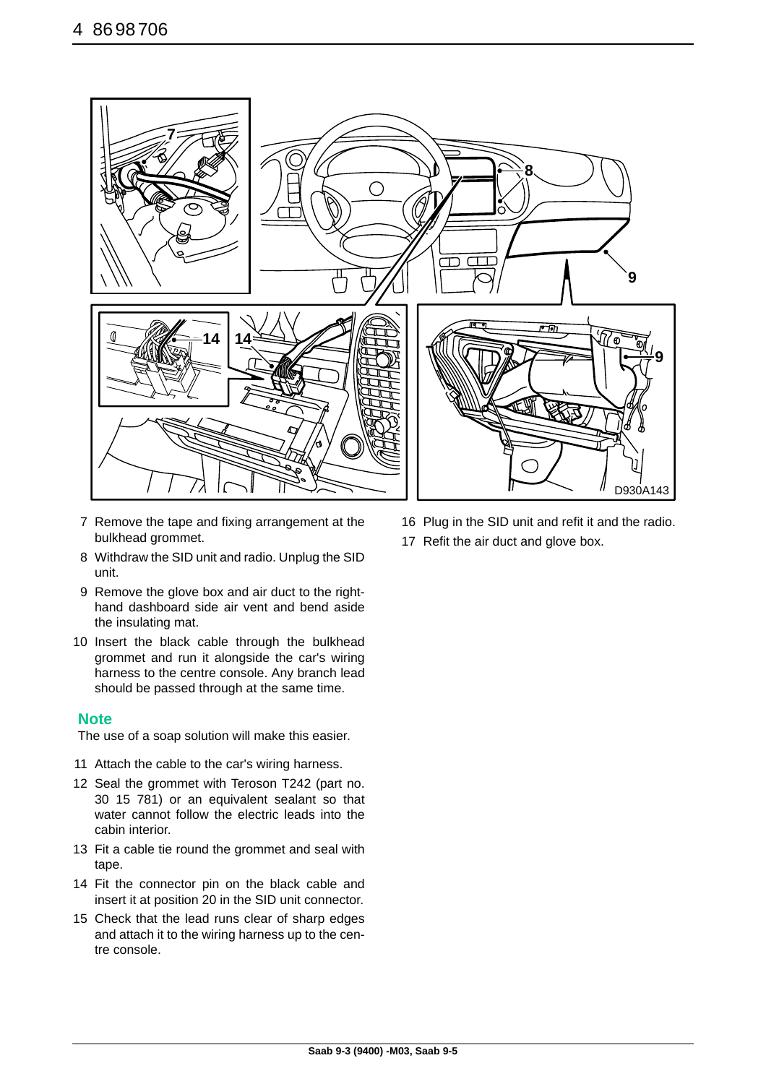

- 7 Remove the tape and fixing arrangement at the bulkhead grommet.
- 8 Withdraw the SID unit and radio. Unplug the SID unit.
- 9 Remove the glove box and air duct to the righthand dashboard side air vent and bend aside the insulating mat.
- 10 Insert the black cable through the bulkhead grommet and run it alongside the car's wiring harness to the centre console. Any branch lead should be passed through at the same time.

### **Note**

The use of a soap solution will make this easier.

- 11 Attach the cable to the car's wiring harness.
- 12 Seal the grommet with Teroson T242 (part no. 30 15 781) or an equivalent sealant so that water cannot follow the electric leads into the cabin interior.
- 13 Fit a cable tie round the grommet and seal with tape.
- 14 Fit the connector pin on the black cable and insert it at position 20 in the SID unit connector.
- 15 Check that the lead runs clear of sharp edges and attach it to the wiring harness up to the centre console.
- 16 Plug in the SID unit and refit it and the radio.
- 17 Refit the air duct and glove box.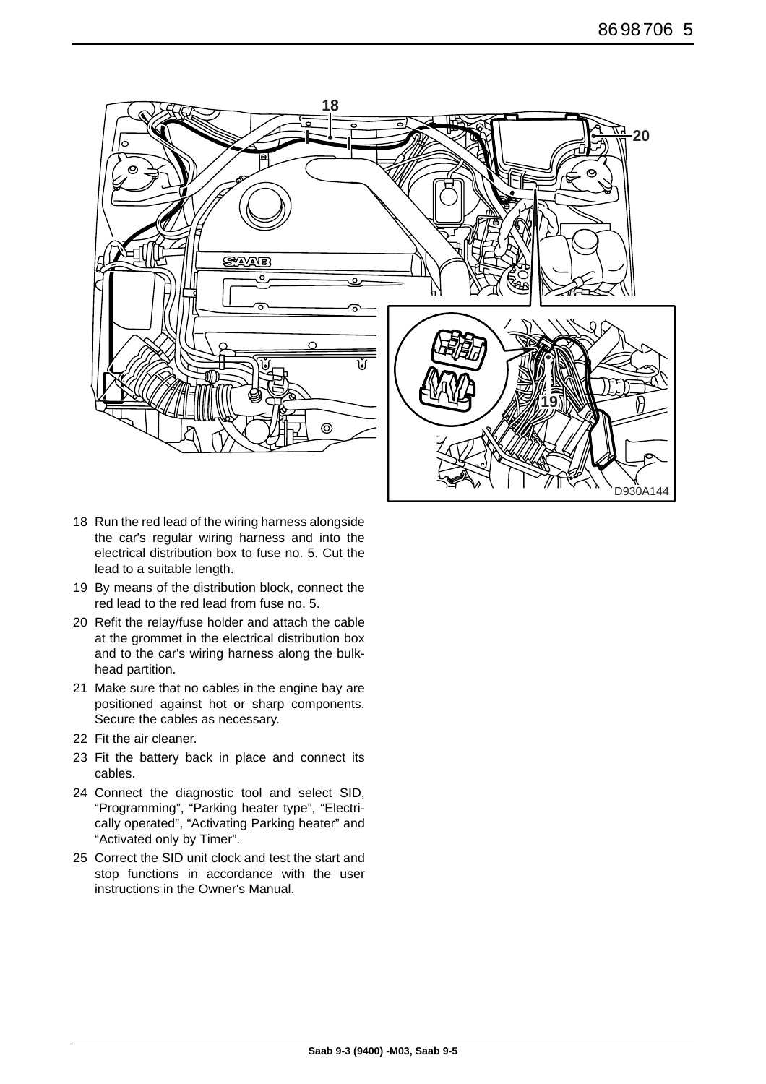

- 18 Run the red lead of the wiring harness alongside the car's regular wiring harness and into the electrical distribution box to fuse no. 5. Cut the lead to a suitable length.
- 19 By means of the distribution block, connect the red lead to the red lead from fuse no. 5.
- 20 Refit the relay/fuse holder and attach the cable at the grommet in the electrical distribution box and to the car's wiring harness along the bulkhead partition.
- 21 Make sure that no cables in the engine bay are positioned against hot or sharp components. Secure the cables as necessary.
- 22 Fit the air cleaner.
- 23 Fit the battery back in place and connect its cables.
- 24 Connect the diagnostic tool and select SID, "Programming", "Parking heater type", "Electrically operated", "Activating Parking heater" and "Activated only by Timer".
- 25 Correct the SID unit clock and test the start and stop functions in accordance with the user instructions in the Owner's Manual.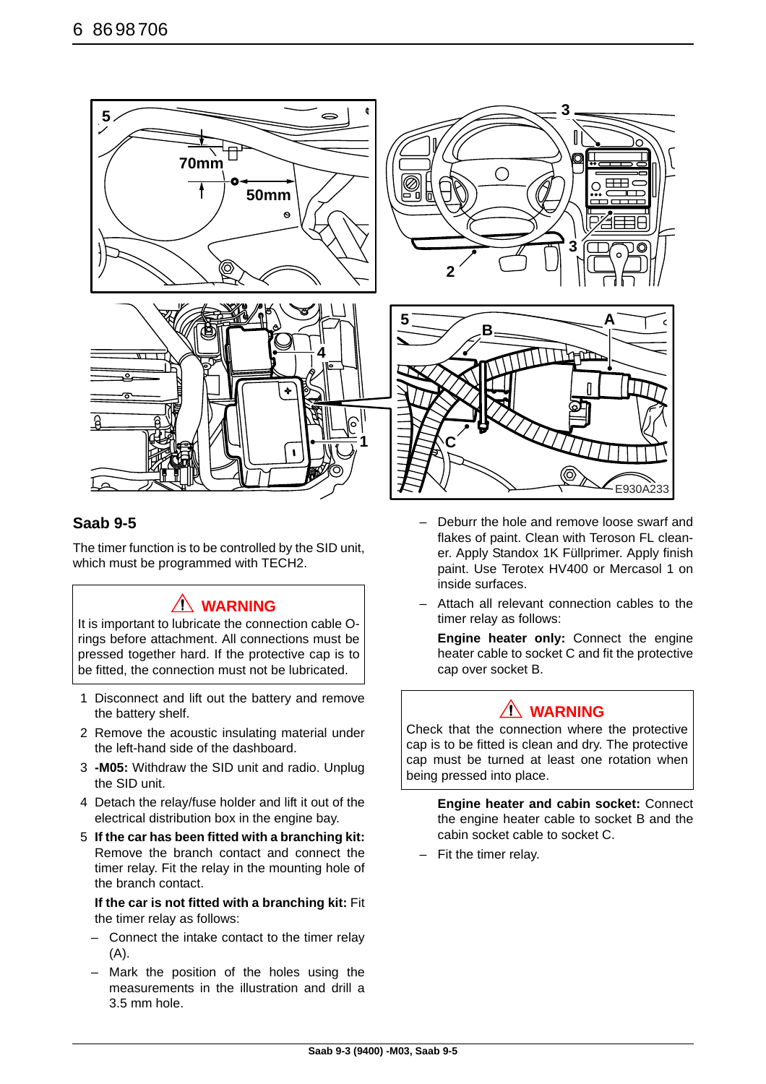

### **Saab 9-5**

The timer function is to be controlled by the SID unit, which must be programmed with TECH2.

## **WARNING**

It is important to lubricate the connection cable Orings before attachment. All connections must be pressed together hard. If the protective cap is to be fitted, the connection must not be lubricated.

- 1 Disconnect and lift out the battery and remove the battery shelf.
- 2 Remove the acoustic insulating material under the left-hand side of the dashboard.
- 3 **-M05:** Withdraw the SID unit and radio. Unplug the SID unit.
- 4 Detach the relay/fuse holder and lift it out of the electrical distribution box in the engine bay.
- 5 **If the car has been fitted with a branching kit:** Remove the branch contact and connect the timer relay. Fit the relay in the mounting hole of the branch contact.

**If the car is not fitted with a branching kit:** Fit the timer relay as follows:

- Connect the intake contact to the timer relay (A).
- Mark the position of the holes using the measurements in the illustration and drill a 3.5 mm hole.
- Deburr the hole and remove loose swarf and flakes of paint. Clean with Teroson FL cleaner. Apply Standox 1K Füllprimer. Apply finish paint. Use Terotex HV400 or Mercasol 1 on inside surfaces.
- Attach all relevant connection cables to the timer relay as follows:

**Engine heater only:** Connect the engine heater cable to socket C and fit the protective cap over socket B.

### **WARNING**

Check that the connection where the protective cap is to be fitted is clean and dry. The protective cap must be turned at least one rotation when being pressed into place.

> **Engine heater and cabin socket:** Connect the engine heater cable to socket B and the cabin socket cable to socket C.

Fit the timer relay.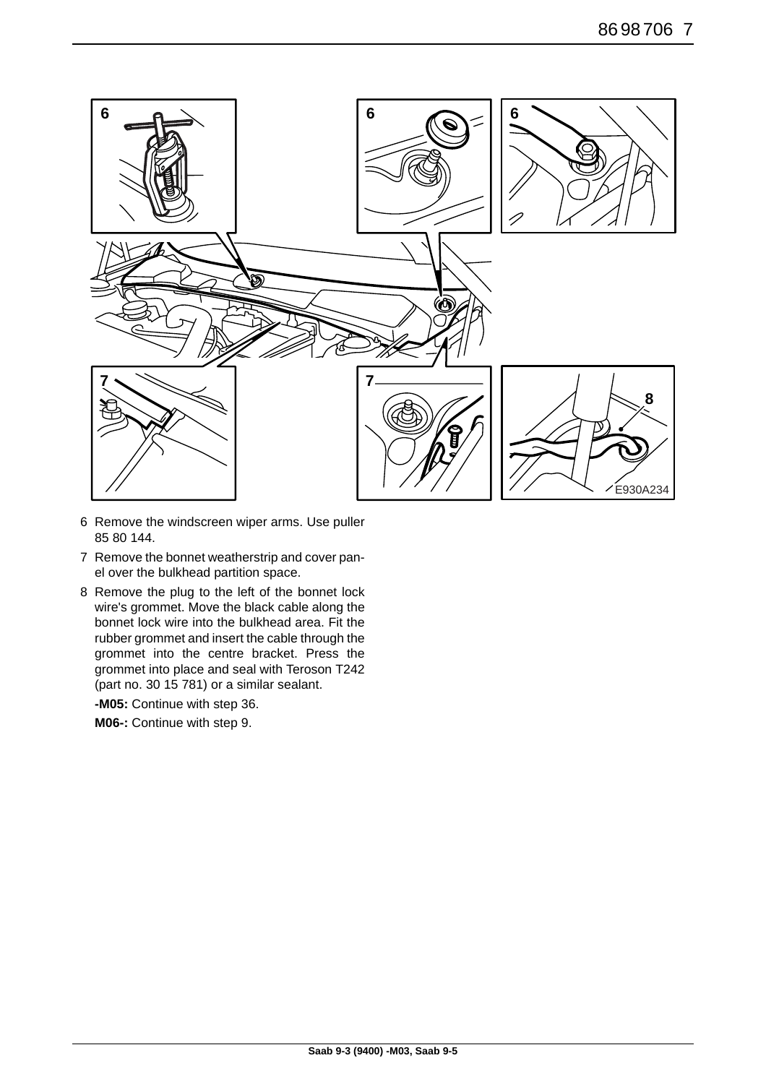

- 6 Remove the windscreen wiper arms. Use puller 85 80 144.
- 7 Remove the bonnet weatherstrip and cover panel over the bulkhead partition space.
- 8 Remove the plug to the left of the bonnet lock wire's grommet. Move the black cable along the bonnet lock wire into the bulkhead area. Fit the rubber grommet and insert the cable through the grommet into the centre bracket. Press the grommet into place and seal with Teroson T242 (part no. 30 15 781) or a similar sealant.

**-M05:** Continue with step 36.

**M06-:** Continue with step 9.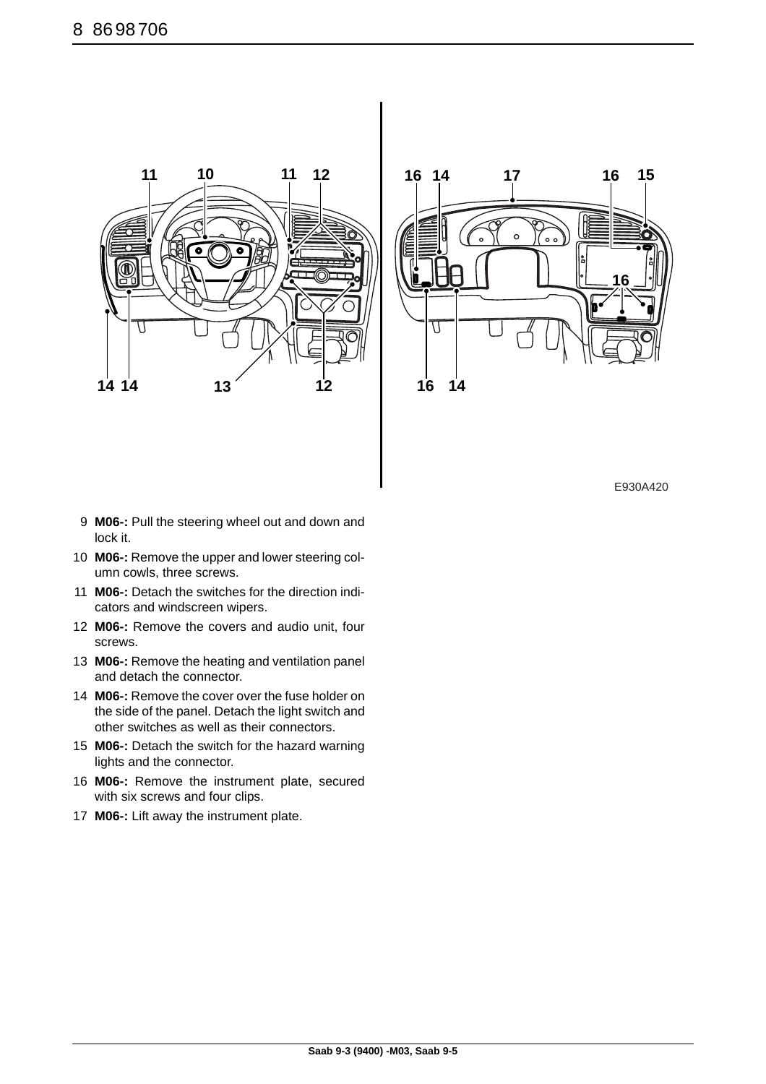



E930A420

- 9 **M06-:** Pull the steering wheel out and down and lock it.
- 10 **M06-:** Remove the upper and lower steering column cowls, three screws.
- 11 **M06-:** Detach the switches for the direction indicators and windscreen wipers.
- 12 **M06-:** Remove the covers and audio unit, four screws.
- 13 **M06-:** Remove the heating and ventilation panel and detach the connector.
- 14 **M06-:** Remove the cover over the fuse holder on the side of the panel. Detach the light switch and other switches as well as their connectors.
- 15 **M06-:** Detach the switch for the hazard warning lights and the connector.
- 16 **M06-:** Remove the instrument plate, secured with six screws and four clips.
- 17 **M06-:** Lift away the instrument plate.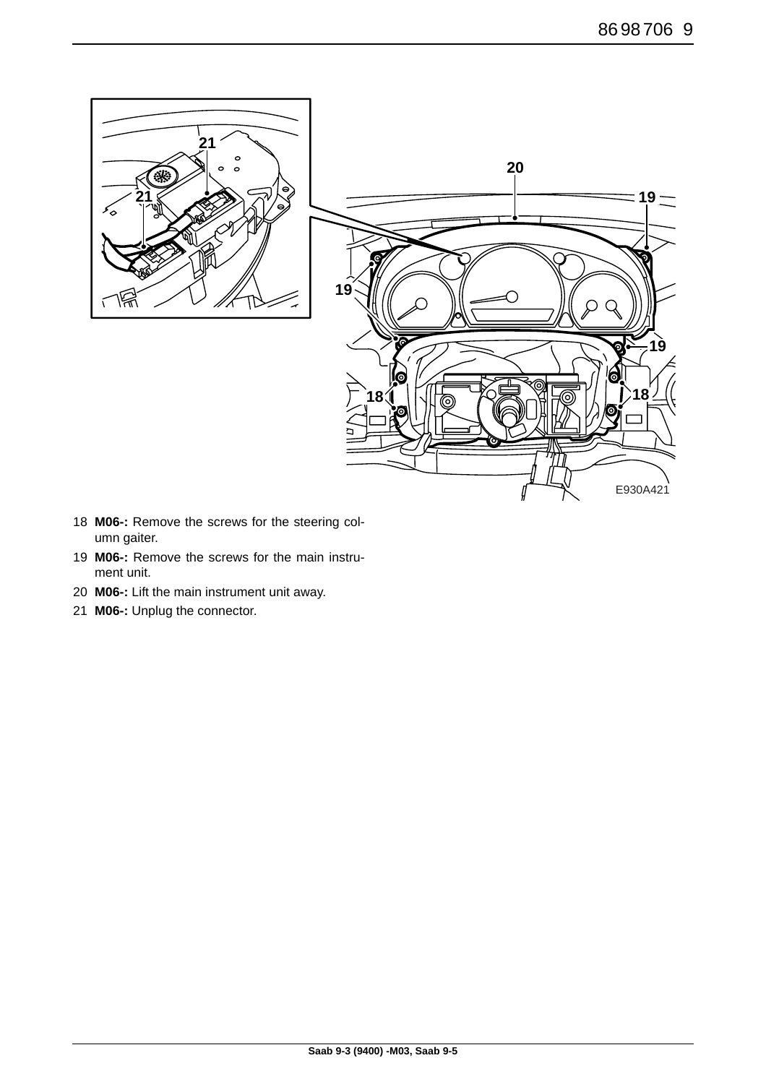

- **M06-:** Remove the screws for the steering column gaiter.
- **M06-:** Remove the screws for the main instrument unit.
- **M06-:** Lift the main instrument unit away.
- **M06-:** Unplug the connector.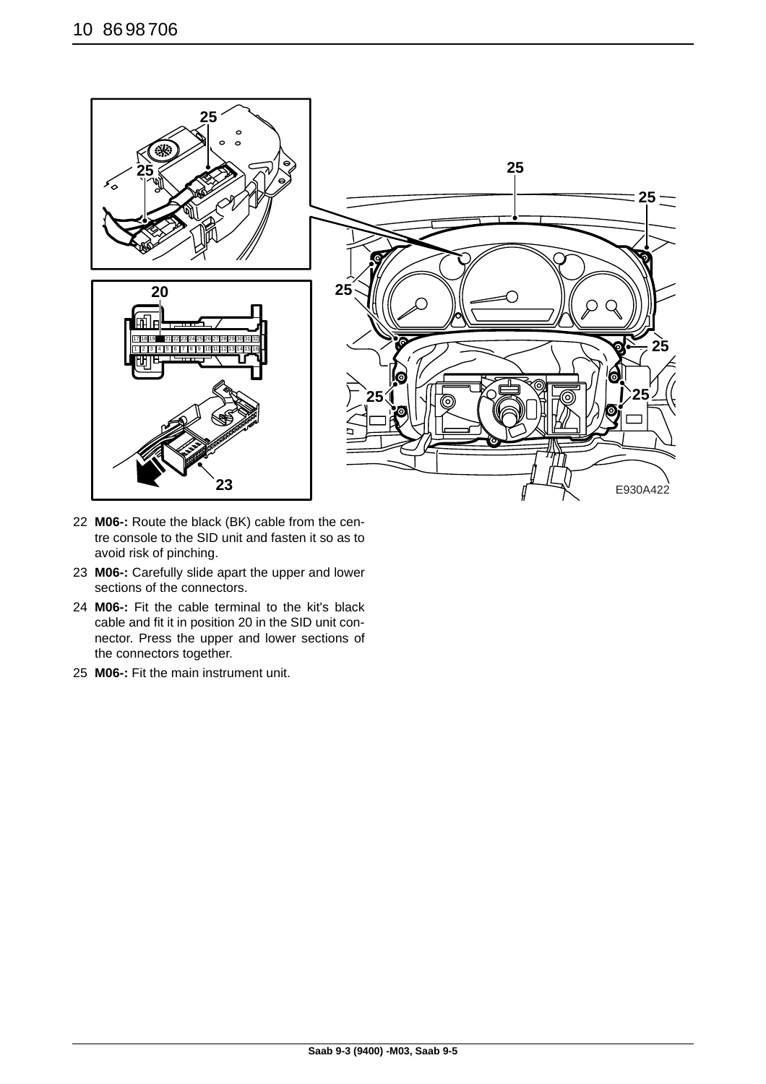![](_page_9_Picture_1.jpeg)

- 22 **M06-:** Route the black (BK) cable from the centre console to the SID unit and fasten it so as to avoid risk of pinching.
- 23 **M06-:** Carefully slide apart the upper and lower sections of the connectors.
- 24 **M06-:** Fit the cable terminal to the kit's black cable and fit it in position 20 in the SID unit connector. Press the upper and lower sections of the connectors together.
- 25 **M06-:** Fit the main instrument unit.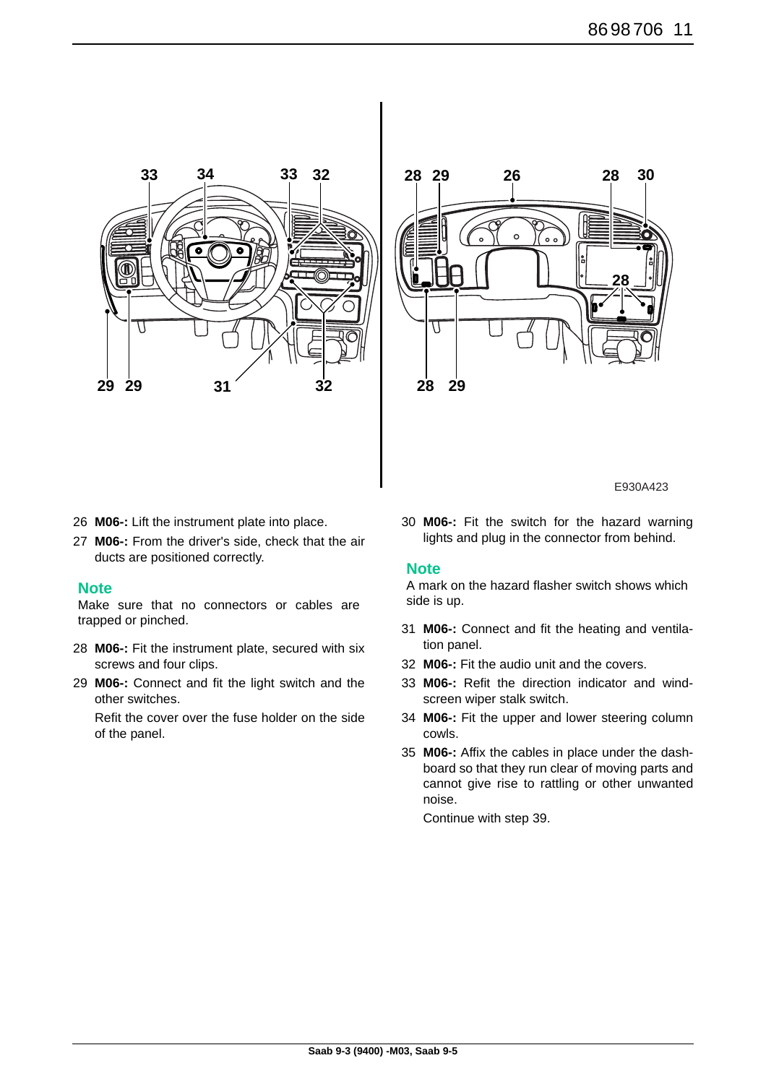![](_page_10_Figure_1.jpeg)

![](_page_10_Figure_2.jpeg)

E930A423

- 26 **M06-:** Lift the instrument plate into place.
- 27 **M06-:** From the driver's side, check that the air ducts are positioned correctly.

#### **Note**

Make sure that no connectors or cables are trapped or pinched.

- 28 **M06-:** Fit the instrument plate, secured with six screws and four clips.
- 29 **M06-:** Connect and fit the light switch and the other switches.

Refit the cover over the fuse holder on the side of the panel.

30 **M06-:** Fit the switch for the hazard warning lights and plug in the connector from behind.

#### **Note**

A mark on the hazard flasher switch shows which side is up.

- 31 **M06-:** Connect and fit the heating and ventilation panel.
- 32 **M06-:** Fit the audio unit and the covers.
- 33 **M06-:** Refit the direction indicator and windscreen wiper stalk switch.
- 34 **M06-:** Fit the upper and lower steering column cowls.
- 35 **M06-:** Affix the cables in place under the dashboard so that they run clear of moving parts and cannot give rise to rattling or other unwanted noise.

Continue with step 39.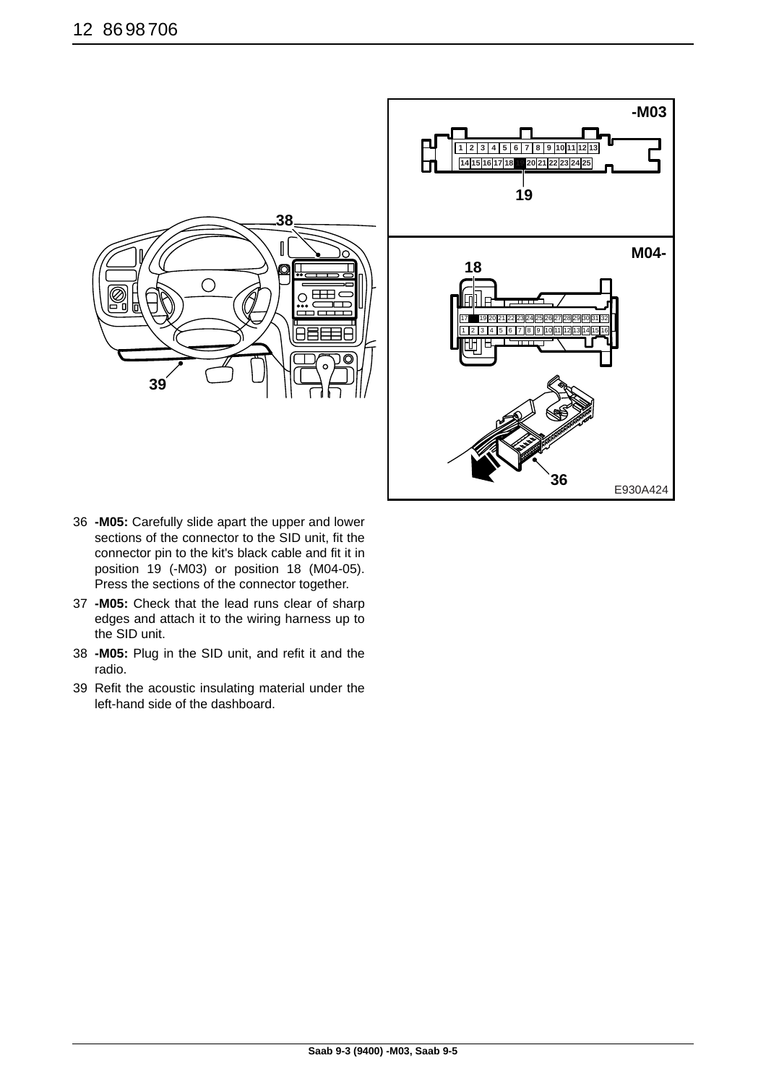![](_page_11_Figure_1.jpeg)

- 36 **-M05:** Carefully slide apart the upper and lower sections of the connector to the SID unit, fit the connector pin to the kit's black cable and fit it in position 19 (-M03) or position 18 (M04-05). Press the sections of the connector together.
- 37 **-M05:** Check that the lead runs clear of sharp edges and attach it to the wiring harness up to the SID unit.
- 38 **-M05:** Plug in the SID unit, and refit it and the radio.
- 39 Refit the acoustic insulating material under the left-hand side of the dashboard.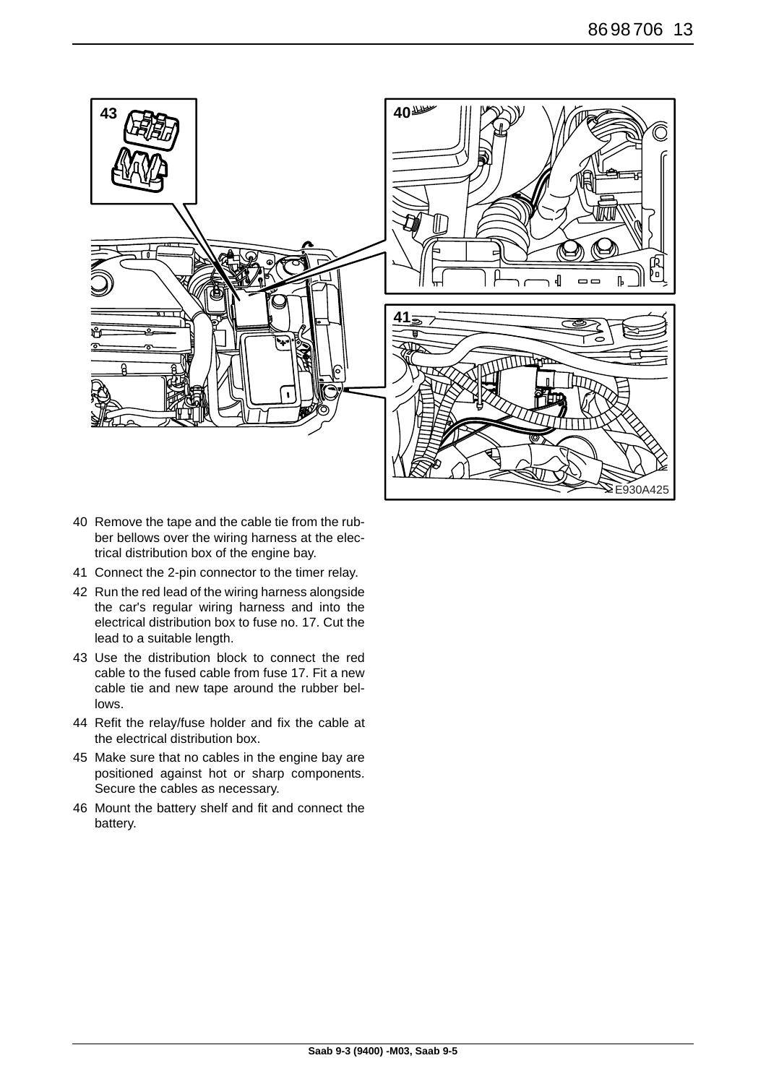![](_page_12_Figure_1.jpeg)

- 40 Remove the tape and the cable tie from the rubber bellows over the wiring harness at the electrical distribution box of the engine bay.
- 41 Connect the 2-pin connector to the timer relay.
- 42 Run the red lead of the wiring harness alongside the car's regular wiring harness and into the electrical distribution box to fuse no. 17. Cut the lead to a suitable length.
- 43 Use the distribution block to connect the red cable to the fused cable from fuse 17. Fit a new cable tie and new tape around the rubber bellows.
- 44 Refit the relay/fuse holder and fix the cable at the electrical distribution box.
- 45 Make sure that no cables in the engine bay are positioned against hot or sharp components. Secure the cables as necessary.
- 46 Mount the battery shelf and fit and connect the battery.